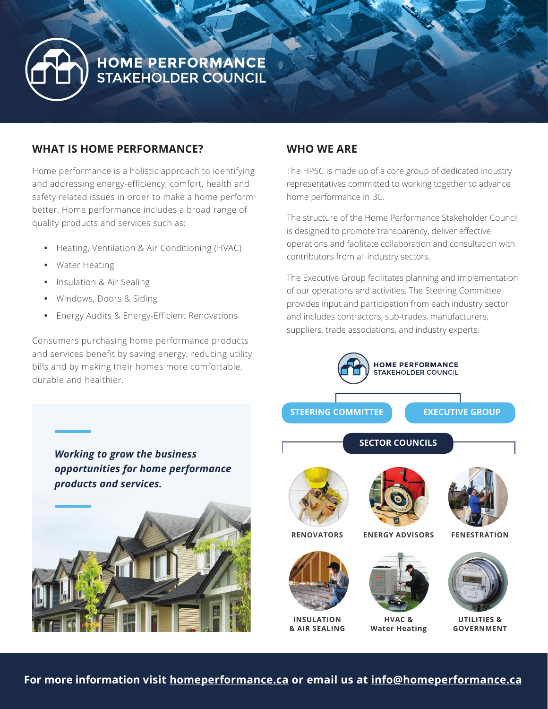

# HOME PERFORMANCE<br>STAKEHOLDER COUNCIL

# **WHAT IS HOME PERFORMANCE?**

Home performance is a holistic approach to identifying and addressing energy-efficiency, comfort, health and safety related issues in order to make a home perform better. Home performance includes a broad range of quality products and services such as:

- **•** Heating, Ventilation & Air Conditioning (HVAC)
- **•** Water Heating
- **•** Insulation & Air Sealing
- **•** Windows, Doors & Siding
- **•** Energy Audits & Energy-Efficient Renovations

Consumers purchasing home performance products and services benefit by saving energy, reducing utility bills and by making their homes more comfortable, durable and healthier.

# **WHO WE ARE**

The HPSC is made up of a core group of dedicated industry representatives committed to working together to advance home performance in BC.

The structure of the Home Performance Stakeholder Council is designed to promote transparency, deliver effective operations and facilitate collaboration and consultation with contributors from all industry sectors.

The Executive Group facilitates planning and implementation of our operations and activities. The Steering Committee provides input and participation from each industry sector and includes contractors, sub-trades, manufacturers, suppliers, trade associations, and industry experts.



*Working to grow the business opportunities for home performance products and services.*